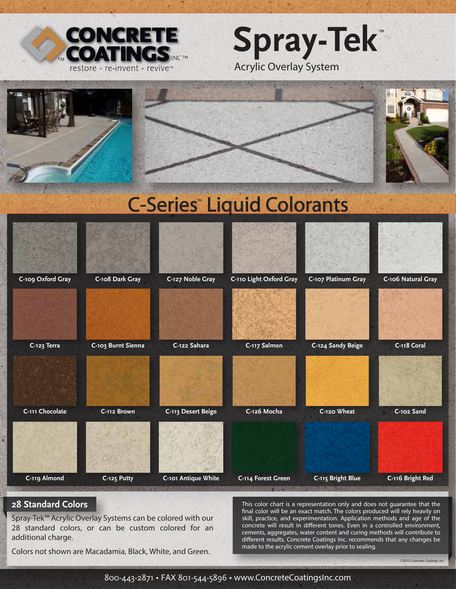







## **28 Standard Colors**

Spray-Tek™ Acrylic Overlay Systems can be colored with our 28 standard colors, or can be custom colored for an additional charge.

This color chart is a representation only and does not guarantee that the nal color will be an exact match. The colors produced will rely heavily on skill, practice, and experimentation. Application methods and age of the concrete will result in different tones. Even in a controlled environment, cements, aggregates, water content and curing methods will contribute to different results. Concrete Coatings Inc. recommends that any changes be made to the acrylic cement overlay prior to sealing.

Colors not shown are Macadamia, Black, White, and Green.

©2015 Concrete Coatings, Inc.